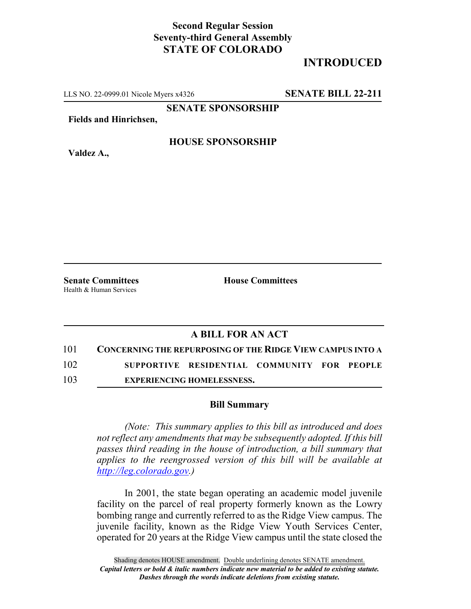## **Second Regular Session Seventy-third General Assembly STATE OF COLORADO**

## **INTRODUCED**

LLS NO. 22-0999.01 Nicole Myers x4326 **SENATE BILL 22-211**

**SENATE SPONSORSHIP**

**Fields and Hinrichsen,**

**HOUSE SPONSORSHIP**

**Valdez A.,**

**Senate Committees House Committees** Health & Human Services

## **A BILL FOR AN ACT**

101 **CONCERNING THE REPURPOSING OF THE RIDGE VIEW CAMPUS INTO A**

102 **SUPPORTIVE RESIDENTIAL COMMUNITY FOR PEOPLE**

103 **EXPERIENCING HOMELESSNESS.**

## **Bill Summary**

*(Note: This summary applies to this bill as introduced and does not reflect any amendments that may be subsequently adopted. If this bill passes third reading in the house of introduction, a bill summary that applies to the reengrossed version of this bill will be available at http://leg.colorado.gov.)*

In 2001, the state began operating an academic model juvenile facility on the parcel of real property formerly known as the Lowry bombing range and currently referred to as the Ridge View campus. The juvenile facility, known as the Ridge View Youth Services Center, operated for 20 years at the Ridge View campus until the state closed the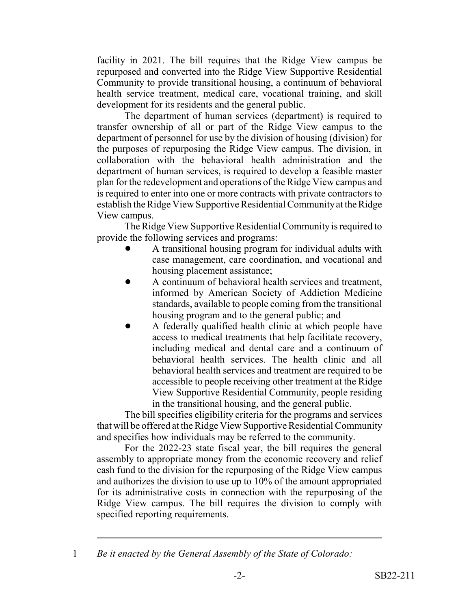facility in 2021. The bill requires that the Ridge View campus be repurposed and converted into the Ridge View Supportive Residential Community to provide transitional housing, a continuum of behavioral health service treatment, medical care, vocational training, and skill development for its residents and the general public.

The department of human services (department) is required to transfer ownership of all or part of the Ridge View campus to the department of personnel for use by the division of housing (division) for the purposes of repurposing the Ridge View campus. The division, in collaboration with the behavioral health administration and the department of human services, is required to develop a feasible master plan for the redevelopment and operations of the Ridge View campus and is required to enter into one or more contracts with private contractors to establish the Ridge View Supportive Residential Community at the Ridge View campus.

The Ridge View Supportive Residential Community is required to provide the following services and programs:

- ! A transitional housing program for individual adults with case management, care coordination, and vocational and housing placement assistance;
- ! A continuum of behavioral health services and treatment, informed by American Society of Addiction Medicine standards, available to people coming from the transitional housing program and to the general public; and
- ! A federally qualified health clinic at which people have access to medical treatments that help facilitate recovery, including medical and dental care and a continuum of behavioral health services. The health clinic and all behavioral health services and treatment are required to be accessible to people receiving other treatment at the Ridge View Supportive Residential Community, people residing in the transitional housing, and the general public.

The bill specifies eligibility criteria for the programs and services that will be offered at the Ridge View Supportive Residential Community and specifies how individuals may be referred to the community.

For the 2022-23 state fiscal year, the bill requires the general assembly to appropriate money from the economic recovery and relief cash fund to the division for the repurposing of the Ridge View campus and authorizes the division to use up to 10% of the amount appropriated for its administrative costs in connection with the repurposing of the Ridge View campus. The bill requires the division to comply with specified reporting requirements.

<sup>1</sup> *Be it enacted by the General Assembly of the State of Colorado:*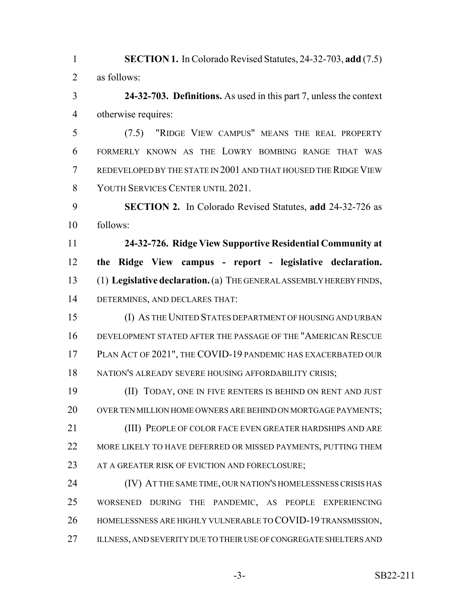**SECTION 1.** In Colorado Revised Statutes, 24-32-703, **add** (7.5) as follows:

 **24-32-703. Definitions.** As used in this part 7, unless the context otherwise requires:

 (7.5) "RIDGE VIEW CAMPUS" MEANS THE REAL PROPERTY FORMERLY KNOWN AS THE LOWRY BOMBING RANGE THAT WAS REDEVELOPED BY THE STATE IN 2001 AND THAT HOUSED THE RIDGE VIEW YOUTH SERVICES CENTER UNTIL 2021.

 **SECTION 2.** In Colorado Revised Statutes, **add** 24-32-726 as follows:

 **24-32-726. Ridge View Supportive Residential Community at the Ridge View campus - report - legislative declaration.** (1) **Legislative declaration.** (a) THE GENERAL ASSEMBLY HEREBY FINDS, DETERMINES, AND DECLARES THAT:

 (I) AS THE UNITED STATES DEPARTMENT OF HOUSING AND URBAN DEVELOPMENT STATED AFTER THE PASSAGE OF THE "AMERICAN RESCUE PLAN ACT OF 2021", THE COVID-19 PANDEMIC HAS EXACERBATED OUR 18 NATION'S ALREADY SEVERE HOUSING AFFORDABILITY CRISIS;

 (II) TODAY, ONE IN FIVE RENTERS IS BEHIND ON RENT AND JUST 20 OVER TEN MILLION HOME OWNERS ARE BEHIND ON MORTGAGE PAYMENTS; (III) PEOPLE OF COLOR FACE EVEN GREATER HARDSHIPS AND ARE 22 MORE LIKELY TO HAVE DEFERRED OR MISSED PAYMENTS, PUTTING THEM 23 AT A GREATER RISK OF EVICTION AND FORECLOSURE;

 (IV) AT THE SAME TIME, OUR NATION'S HOMELESSNESS CRISIS HAS WORSENED DURING THE PANDEMIC, AS PEOPLE EXPERIENCING HOMELESSNESS ARE HIGHLY VULNERABLE TO COVID-19 TRANSMISSION, 27 ILLNESS, AND SEVERITY DUE TO THEIR USE OF CONGREGATE SHELTERS AND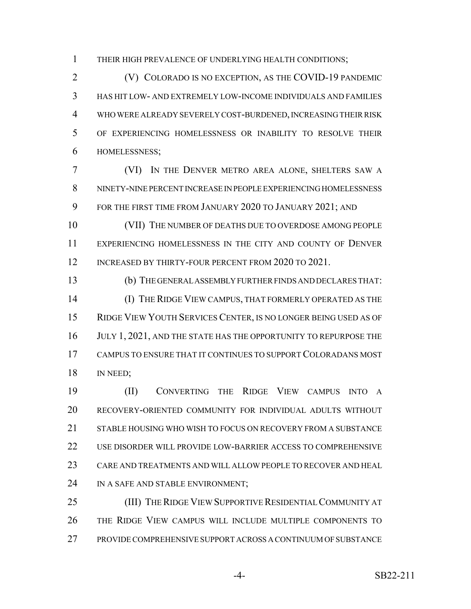THEIR HIGH PREVALENCE OF UNDERLYING HEALTH CONDITIONS;

 (V) COLORADO IS NO EXCEPTION, AS THE COVID-19 PANDEMIC HAS HIT LOW- AND EXTREMELY LOW-INCOME INDIVIDUALS AND FAMILIES WHO WERE ALREADY SEVERELY COST-BURDENED, INCREASING THEIR RISK OF EXPERIENCING HOMELESSNESS OR INABILITY TO RESOLVE THEIR HOMELESSNESS;

 (VI) IN THE DENVER METRO AREA ALONE, SHELTERS SAW A NINETY-NINE PERCENT INCREASE IN PEOPLE EXPERIENCING HOMELESSNESS FOR THE FIRST TIME FROM JANUARY 2020 TO JANUARY 2021; AND

 (VII) THE NUMBER OF DEATHS DUE TO OVERDOSE AMONG PEOPLE EXPERIENCING HOMELESSNESS IN THE CITY AND COUNTY OF DENVER 12 INCREASED BY THIRTY-FOUR PERCENT FROM 2020 TO 2021.

 (b) THE GENERAL ASSEMBLY FURTHER FINDS AND DECLARES THAT: (I) THE RIDGE VIEW CAMPUS, THAT FORMERLY OPERATED AS THE RIDGE VIEW YOUTH SERVICES CENTER, IS NO LONGER BEING USED AS OF 16 JULY 1, 2021, AND THE STATE HAS THE OPPORTUNITY TO REPURPOSE THE CAMPUS TO ENSURE THAT IT CONTINUES TO SUPPORT COLORADANS MOST 18 IN NEED;

 (II) CONVERTING THE RIDGE VIEW CAMPUS INTO A RECOVERY-ORIENTED COMMUNITY FOR INDIVIDUAL ADULTS WITHOUT 21 STABLE HOUSING WHO WISH TO FOCUS ON RECOVERY FROM A SUBSTANCE USE DISORDER WILL PROVIDE LOW-BARRIER ACCESS TO COMPREHENSIVE CARE AND TREATMENTS AND WILL ALLOW PEOPLE TO RECOVER AND HEAL 24 IN A SAFE AND STABLE ENVIRONMENT;

25 (III) THE RIDGE VIEW SUPPORTIVE RESIDENTIAL COMMUNITY AT THE RIDGE VIEW CAMPUS WILL INCLUDE MULTIPLE COMPONENTS TO PROVIDE COMPREHENSIVE SUPPORT ACROSS A CONTINUUM OF SUBSTANCE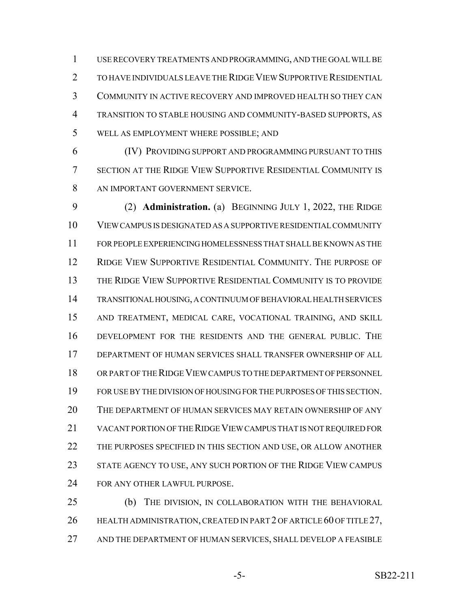USE RECOVERY TREATMENTS AND PROGRAMMING, AND THE GOAL WILL BE TO HAVE INDIVIDUALS LEAVE THE RIDGE VIEW SUPPORTIVE RESIDENTIAL COMMUNITY IN ACTIVE RECOVERY AND IMPROVED HEALTH SO THEY CAN TRANSITION TO STABLE HOUSING AND COMMUNITY-BASED SUPPORTS, AS WELL AS EMPLOYMENT WHERE POSSIBLE; AND

 (IV) PROVIDING SUPPORT AND PROGRAMMING PURSUANT TO THIS SECTION AT THE RIDGE VIEW SUPPORTIVE RESIDENTIAL COMMUNITY IS 8 AN IMPORTANT GOVERNMENT SERVICE.

 (2) **Administration.** (a) BEGINNING JULY 1, 2022, THE RIDGE VIEW CAMPUS IS DESIGNATED AS A SUPPORTIVE RESIDENTIAL COMMUNITY FOR PEOPLE EXPERIENCING HOMELESSNESS THAT SHALL BE KNOWN AS THE RIDGE VIEW SUPPORTIVE RESIDENTIAL COMMUNITY. THE PURPOSE OF THE RIDGE VIEW SUPPORTIVE RESIDENTIAL COMMUNITY IS TO PROVIDE TRANSITIONAL HOUSING, A CONTINUUM OF BEHAVIORAL HEALTH SERVICES AND TREATMENT, MEDICAL CARE, VOCATIONAL TRAINING, AND SKILL DEVELOPMENT FOR THE RESIDENTS AND THE GENERAL PUBLIC. THE DEPARTMENT OF HUMAN SERVICES SHALL TRANSFER OWNERSHIP OF ALL OR PART OF THE RIDGE VIEW CAMPUS TO THE DEPARTMENT OF PERSONNEL FOR USE BY THE DIVISION OF HOUSING FOR THE PURPOSES OF THIS SECTION. THE DEPARTMENT OF HUMAN SERVICES MAY RETAIN OWNERSHIP OF ANY VACANT PORTION OF THE RIDGE VIEW CAMPUS THAT IS NOT REQUIRED FOR THE PURPOSES SPECIFIED IN THIS SECTION AND USE, OR ALLOW ANOTHER STATE AGENCY TO USE, ANY SUCH PORTION OF THE RIDGE VIEW CAMPUS FOR ANY OTHER LAWFUL PURPOSE.

 (b) THE DIVISION, IN COLLABORATION WITH THE BEHAVIORAL 26 HEALTH ADMINISTRATION, CREATED IN PART 2 OF ARTICLE 60 OF TITLE 27, AND THE DEPARTMENT OF HUMAN SERVICES, SHALL DEVELOP A FEASIBLE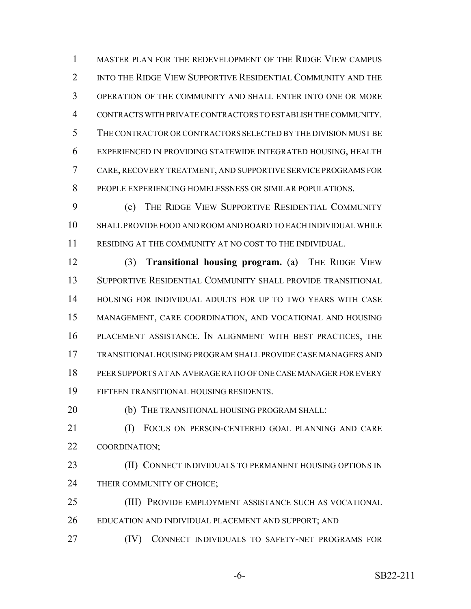MASTER PLAN FOR THE REDEVELOPMENT OF THE RIDGE VIEW CAMPUS INTO THE RIDGE VIEW SUPPORTIVE RESIDENTIAL COMMUNITY AND THE OPERATION OF THE COMMUNITY AND SHALL ENTER INTO ONE OR MORE CONTRACTS WITH PRIVATE CONTRACTORS TO ESTABLISH THE COMMUNITY. THE CONTRACTOR OR CONTRACTORS SELECTED BY THE DIVISION MUST BE EXPERIENCED IN PROVIDING STATEWIDE INTEGRATED HOUSING, HEALTH CARE, RECOVERY TREATMENT, AND SUPPORTIVE SERVICE PROGRAMS FOR PEOPLE EXPERIENCING HOMELESSNESS OR SIMILAR POPULATIONS.

 (c) THE RIDGE VIEW SUPPORTIVE RESIDENTIAL COMMUNITY SHALL PROVIDE FOOD AND ROOM AND BOARD TO EACH INDIVIDUAL WHILE RESIDING AT THE COMMUNITY AT NO COST TO THE INDIVIDUAL.

 (3) **Transitional housing program.** (a) THE RIDGE VIEW SUPPORTIVE RESIDENTIAL COMMUNITY SHALL PROVIDE TRANSITIONAL HOUSING FOR INDIVIDUAL ADULTS FOR UP TO TWO YEARS WITH CASE MANAGEMENT, CARE COORDINATION, AND VOCATIONAL AND HOUSING PLACEMENT ASSISTANCE. IN ALIGNMENT WITH BEST PRACTICES, THE TRANSITIONAL HOUSING PROGRAM SHALL PROVIDE CASE MANAGERS AND PEER SUPPORTS AT AN AVERAGE RATIO OF ONE CASE MANAGER FOR EVERY FIFTEEN TRANSITIONAL HOUSING RESIDENTS.

**(b)** THE TRANSITIONAL HOUSING PROGRAM SHALL:

 (I) FOCUS ON PERSON-CENTERED GOAL PLANNING AND CARE COORDINATION;

**(II) CONNECT INDIVIDUALS TO PERMANENT HOUSING OPTIONS IN** THEIR COMMUNITY OF CHOICE;

(III) PROVIDE EMPLOYMENT ASSISTANCE SUCH AS VOCATIONAL

EDUCATION AND INDIVIDUAL PLACEMENT AND SUPPORT; AND

(IV) CONNECT INDIVIDUALS TO SAFETY-NET PROGRAMS FOR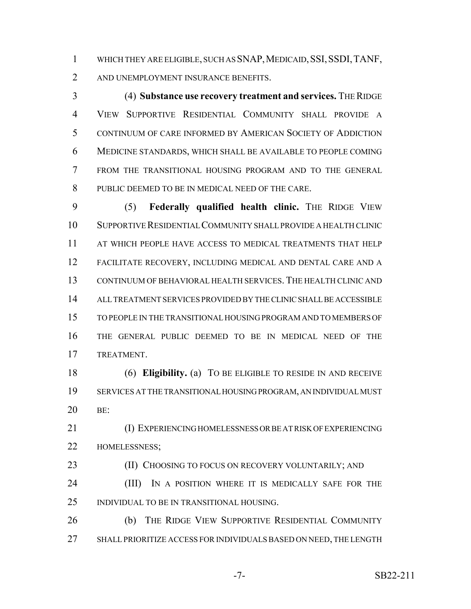1 WHICH THEY ARE ELIGIBLE, SUCH AS SNAP, MEDICAID, SSI, SSDI, TANF, 2 AND UNEMPLOYMENT INSURANCE BENEFITS.

 (4) **Substance use recovery treatment and services.** THE RIDGE VIEW SUPPORTIVE RESIDENTIAL COMMUNITY SHALL PROVIDE A CONTINUUM OF CARE INFORMED BY AMERICAN SOCIETY OF ADDICTION MEDICINE STANDARDS, WHICH SHALL BE AVAILABLE TO PEOPLE COMING FROM THE TRANSITIONAL HOUSING PROGRAM AND TO THE GENERAL PUBLIC DEEMED TO BE IN MEDICAL NEED OF THE CARE.

 (5) **Federally qualified health clinic.** THE RIDGE VIEW SUPPORTIVE RESIDENTIAL COMMUNITY SHALL PROVIDE A HEALTH CLINIC AT WHICH PEOPLE HAVE ACCESS TO MEDICAL TREATMENTS THAT HELP FACILITATE RECOVERY, INCLUDING MEDICAL AND DENTAL CARE AND A CONTINUUM OF BEHAVIORAL HEALTH SERVICES. THE HEALTH CLINIC AND ALL TREATMENT SERVICES PROVIDED BY THE CLINIC SHALL BE ACCESSIBLE TO PEOPLE IN THE TRANSITIONAL HOUSING PROGRAM AND TO MEMBERS OF THE GENERAL PUBLIC DEEMED TO BE IN MEDICAL NEED OF THE TREATMENT.

 (6) **Eligibility.** (a) TO BE ELIGIBLE TO RESIDE IN AND RECEIVE SERVICES AT THE TRANSITIONAL HOUSING PROGRAM, AN INDIVIDUAL MUST BE:

 (I) EXPERIENCING HOMELESSNESS OR BE AT RISK OF EXPERIENCING HOMELESSNESS;

**(II) CHOOSING TO FOCUS ON RECOVERY VOLUNTARILY; AND** 24 (III) IN A POSITION WHERE IT IS MEDICALLY SAFE FOR THE INDIVIDUAL TO BE IN TRANSITIONAL HOUSING.

 (b) THE RIDGE VIEW SUPPORTIVE RESIDENTIAL COMMUNITY SHALL PRIORITIZE ACCESS FOR INDIVIDUALS BASED ON NEED, THE LENGTH

-7- SB22-211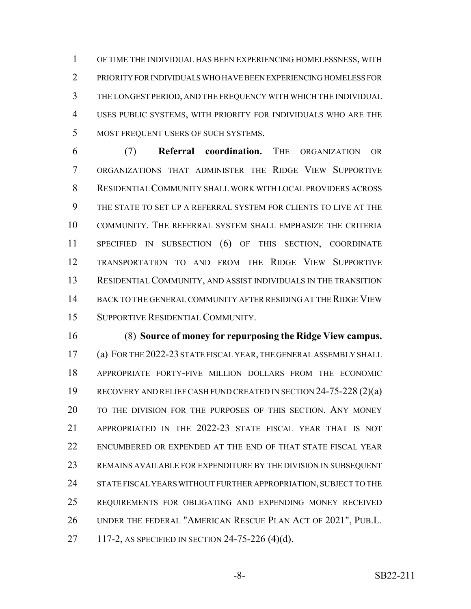OF TIME THE INDIVIDUAL HAS BEEN EXPERIENCING HOMELESSNESS, WITH PRIORITY FOR INDIVIDUALS WHO HAVE BEEN EXPERIENCING HOMELESS FOR THE LONGEST PERIOD, AND THE FREQUENCY WITH WHICH THE INDIVIDUAL USES PUBLIC SYSTEMS, WITH PRIORITY FOR INDIVIDUALS WHO ARE THE MOST FREQUENT USERS OF SUCH SYSTEMS.

 (7) **Referral coordination.** THE ORGANIZATION OR ORGANIZATIONS THAT ADMINISTER THE RIDGE VIEW SUPPORTIVE RESIDENTIAL COMMUNITY SHALL WORK WITH LOCAL PROVIDERS ACROSS THE STATE TO SET UP A REFERRAL SYSTEM FOR CLIENTS TO LIVE AT THE COMMUNITY. THE REFERRAL SYSTEM SHALL EMPHASIZE THE CRITERIA SPECIFIED IN SUBSECTION (6) OF THIS SECTION, COORDINATE TRANSPORTATION TO AND FROM THE RIDGE VIEW SUPPORTIVE RESIDENTIAL COMMUNITY, AND ASSIST INDIVIDUALS IN THE TRANSITION BACK TO THE GENERAL COMMUNITY AFTER RESIDING AT THE RIDGE VIEW SUPPORTIVE RESIDENTIAL COMMUNITY.

 (8) **Source of money for repurposing the Ridge View campus.** (a) FOR THE 2022-23 STATE FISCAL YEAR, THE GENERAL ASSEMBLY SHALL APPROPRIATE FORTY-FIVE MILLION DOLLARS FROM THE ECONOMIC RECOVERY AND RELIEF CASH FUND CREATED IN SECTION 24-75-228 (2)(a) TO THE DIVISION FOR THE PURPOSES OF THIS SECTION. ANY MONEY APPROPRIATED IN THE 2022-23 STATE FISCAL YEAR THAT IS NOT ENCUMBERED OR EXPENDED AT THE END OF THAT STATE FISCAL YEAR REMAINS AVAILABLE FOR EXPENDITURE BY THE DIVISION IN SUBSEQUENT 24 STATE FISCAL YEARS WITHOUT FURTHER APPROPRIATION, SUBJECT TO THE REQUIREMENTS FOR OBLIGATING AND EXPENDING MONEY RECEIVED UNDER THE FEDERAL "AMERICAN RESCUE PLAN ACT OF 2021", PUB.L. 117-2, AS SPECIFIED IN SECTION 24-75-226 (4)(d).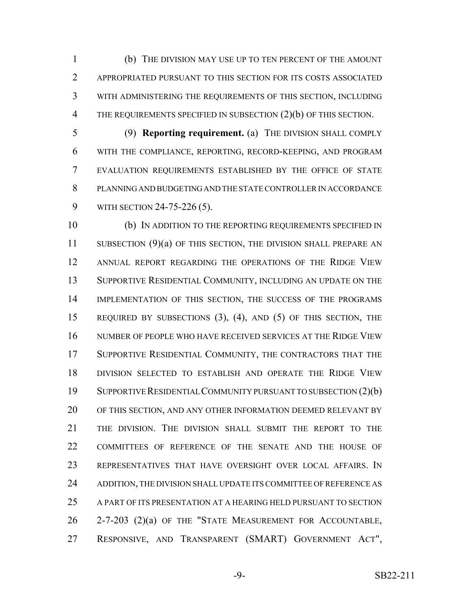(b) THE DIVISION MAY USE UP TO TEN PERCENT OF THE AMOUNT APPROPRIATED PURSUANT TO THIS SECTION FOR ITS COSTS ASSOCIATED WITH ADMINISTERING THE REQUIREMENTS OF THIS SECTION, INCLUDING 4 THE REQUIREMENTS SPECIFIED IN SUBSECTION (2)(b) OF THIS SECTION.

 (9) **Reporting requirement.** (a) THE DIVISION SHALL COMPLY WITH THE COMPLIANCE, REPORTING, RECORD-KEEPING, AND PROGRAM EVALUATION REQUIREMENTS ESTABLISHED BY THE OFFICE OF STATE PLANNING AND BUDGETING AND THE STATE CONTROLLER IN ACCORDANCE WITH SECTION 24-75-226 (5).

 (b) IN ADDITION TO THE REPORTING REQUIREMENTS SPECIFIED IN 11 SUBSECTION (9)(a) OF THIS SECTION, THE DIVISION SHALL PREPARE AN ANNUAL REPORT REGARDING THE OPERATIONS OF THE RIDGE VIEW 13 SUPPORTIVE RESIDENTIAL COMMUNITY, INCLUDING AN UPDATE ON THE IMPLEMENTATION OF THIS SECTION, THE SUCCESS OF THE PROGRAMS REQUIRED BY SUBSECTIONS (3), (4), AND (5) OF THIS SECTION, THE NUMBER OF PEOPLE WHO HAVE RECEIVED SERVICES AT THE RIDGE VIEW SUPPORTIVE RESIDENTIAL COMMUNITY, THE CONTRACTORS THAT THE DIVISION SELECTED TO ESTABLISH AND OPERATE THE RIDGE VIEW SUPPORTIVE RESIDENTIAL COMMUNITY PURSUANT TO SUBSECTION (2)(b) OF THIS SECTION, AND ANY OTHER INFORMATION DEEMED RELEVANT BY THE DIVISION. THE DIVISION SHALL SUBMIT THE REPORT TO THE COMMITTEES OF REFERENCE OF THE SENATE AND THE HOUSE OF REPRESENTATIVES THAT HAVE OVERSIGHT OVER LOCAL AFFAIRS. IN 24 ADDITION, THE DIVISION SHALL UPDATE ITS COMMITTEE OF REFERENCE AS A PART OF ITS PRESENTATION AT A HEARING HELD PURSUANT TO SECTION 2-7-203 (2)(a) OF THE "STATE MEASUREMENT FOR ACCOUNTABLE, RESPONSIVE, AND TRANSPARENT (SMART) GOVERNMENT ACT",